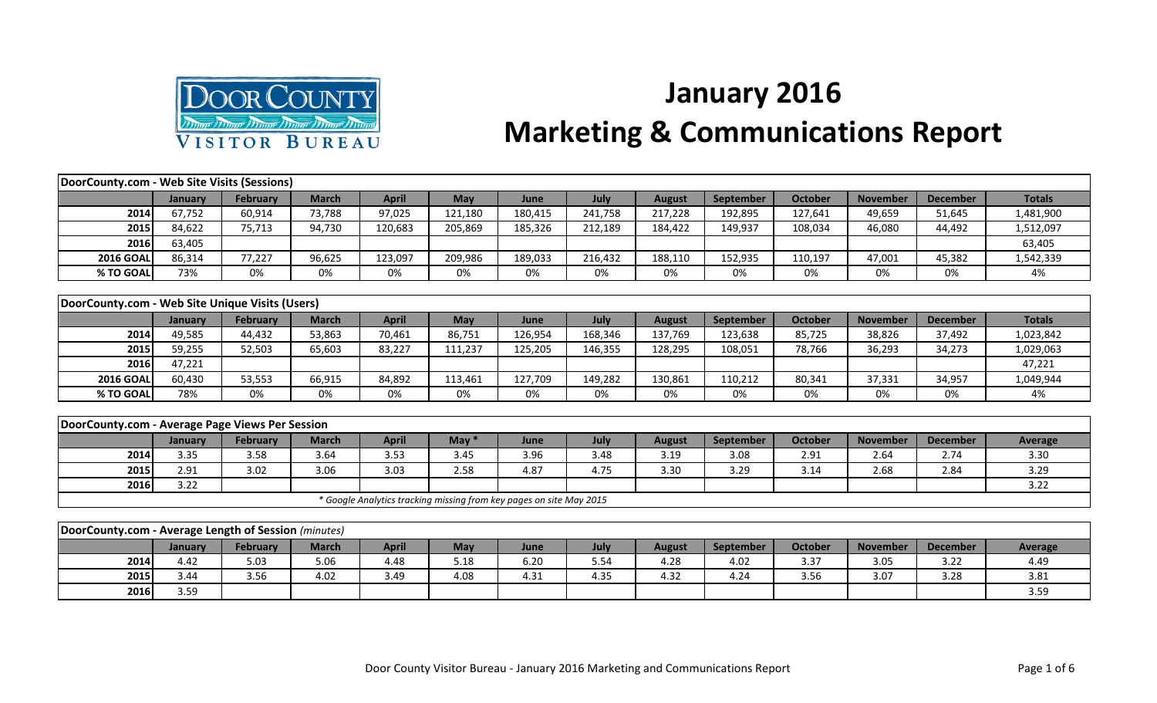

## **January 2016 Marketing & Communications Report**

| DoorCounty.com - Web Site Visits (Sessions)          |         |                 |              |                                                                     |         |         |         |               |                  |                |                 |                 |                |
|------------------------------------------------------|---------|-----------------|--------------|---------------------------------------------------------------------|---------|---------|---------|---------------|------------------|----------------|-----------------|-----------------|----------------|
|                                                      | January | <b>February</b> | <b>March</b> | <b>April</b>                                                        | May     | June    | July    | <b>August</b> | September        | <b>October</b> | <b>November</b> | <b>December</b> | <b>Totals</b>  |
| 2014                                                 | 67,752  | 60,914          | 73,788       | 97,025                                                              | 121,180 | 180,415 | 241,758 | 217,228       | 192,895          | 127,641        | 49,659          | 51,645          | 1,481,900      |
| 2015                                                 | 84,622  | 75,713          | 94,730       | 120,683                                                             | 205,869 | 185,326 | 212,189 | 184,422       | 149,937          | 108,034        | 46,080          | 44,492          | 1,512,097      |
| 2016                                                 | 63,405  |                 |              |                                                                     |         |         |         |               |                  |                |                 |                 | 63,405         |
| <b>2016 GOAL</b>                                     | 86,314  | 77,227          | 96,625       | 123,097                                                             | 209,986 | 189,033 | 216,432 | 188,110       | 152,935          | 110,197        | 47,001          | 45,382          | 1,542,339      |
| % TO GOAL                                            | 73%     | 0%              | 0%           | 0%                                                                  | 0%      | 0%      | 0%      | 0%            | 0%               | 0%             | 0%              | 0%              | 4%             |
|                                                      |         |                 |              |                                                                     |         |         |         |               |                  |                |                 |                 |                |
| DoorCounty.com - Web Site Unique Visits (Users)      |         |                 |              |                                                                     |         |         |         |               |                  |                |                 |                 |                |
|                                                      | January | <b>February</b> | <b>March</b> | <b>April</b>                                                        | May     | June    | July    | <b>August</b> | <b>September</b> | <b>October</b> | <b>November</b> | <b>December</b> | <b>Totals</b>  |
| 2014                                                 | 49,585  | 44,432          | 53,863       | 70,461                                                              | 86,751  | 126,954 | 168,346 | 137,769       | 123,638          | 85,725         | 38,826          | 37,492          | 1,023,842      |
| 2015                                                 | 59,255  | 52,503          | 65,603       | 83,227                                                              | 111,237 | 125,205 | 146,355 | 128,295       | 108,051          | 78,766         | 36,293          | 34,273          | 1,029,063      |
| 2016                                                 | 47,221  |                 |              |                                                                     |         |         |         |               |                  |                |                 |                 | 47,221         |
| <b>2016 GOAL</b>                                     | 60,430  | 53,553          | 66,915       | 84,892                                                              | 113,461 | 127,709 | 149,282 | 130,861       | 110,212          | 80,341         | 37,331          | 34,957          | 1,049,944      |
| % TO GOAL                                            | 78%     | 0%              | 0%           | 0%                                                                  | 0%      | 0%      | 0%      | 0%            | 0%               | 0%             | 0%              | 0%              | 4%             |
|                                                      |         |                 |              |                                                                     |         |         |         |               |                  |                |                 |                 |                |
| DoorCounty.com - Average Page Views Per Session      |         |                 |              |                                                                     |         |         |         |               |                  |                |                 |                 |                |
|                                                      | January | <b>February</b> | <b>March</b> | <b>April</b>                                                        | May $*$ | June    | July    | <b>August</b> | September        | <b>October</b> | <b>November</b> | <b>December</b> | <b>Average</b> |
| 2014                                                 | 3.35    | 3.58            | 3.64         | 3.53                                                                | 3.45    | 3.96    | 3.48    | 3.19          | 3.08             | 2.91           | 2.64            | 2.74            | 3.30           |
| 2015                                                 | 2.91    | 3.02            | 3.06         | 3.03                                                                | 2.58    | 4.87    | 4.75    | 3.30          | 3.29             | 3.14           | 2.68            | 2.84            | 3.29           |
| 2016                                                 | 3.22    |                 |              |                                                                     |         |         |         |               |                  |                |                 |                 | 3.22           |
|                                                      |         |                 |              | * Google Analytics tracking missing from key pages on site May 2015 |         |         |         |               |                  |                |                 |                 |                |
|                                                      |         |                 |              |                                                                     |         |         |         |               |                  |                |                 |                 |                |
| DoorCounty.com - Average Length of Session (minutes) |         |                 |              |                                                                     |         |         |         |               |                  |                |                 |                 |                |
|                                                      | January | <b>February</b> | <b>March</b> | <b>April</b>                                                        | May     | June    | July    | <b>August</b> | September        | <b>October</b> | <b>November</b> | <b>December</b> | <b>Average</b> |
| 2014                                                 | 4.42    | 5.03            | 5.06         | 4.48                                                                | 5.18    | 6.20    | 5.54    | 4.28          | 4.02             | 3.37           | 3.05            | 3.22            | 4.49           |
| 2015                                                 | 3.44    | 3.56            | 4.02         | 3.49                                                                | 4.08    | 4.31    | 4.35    | 4.32          | 4.24             | 3.56           | 3.07            | 3.28            | 3.81           |
| 2016                                                 | 3.59    |                 |              |                                                                     |         |         |         |               |                  |                |                 |                 | 3.59           |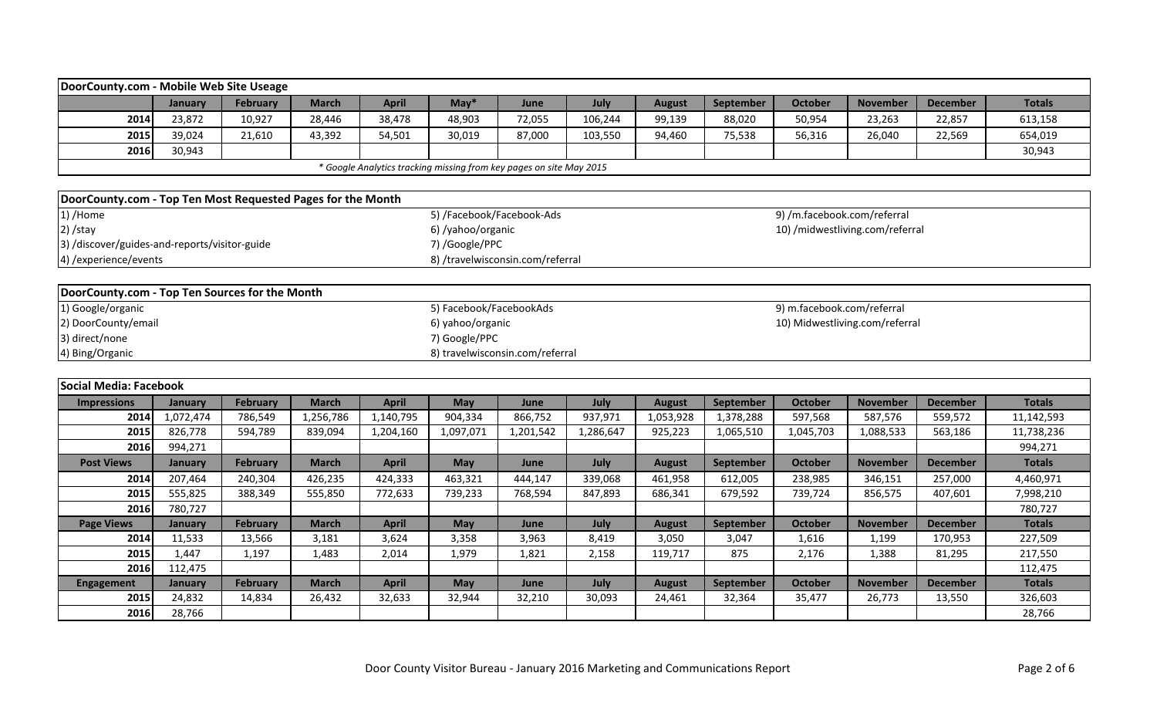|                                                             | DoorCounty.com - Mobile Web Site Useage<br><b>March</b><br>$May*$<br>September<br><b>November</b><br><b>Totals</b><br>January<br><b>February</b><br><b>April</b><br>July<br><b>October</b><br><b>December</b><br>June<br><b>August</b> |                 |              |              |                           |                                                                     |           |               |           |                                 |                 |                 |               |  |
|-------------------------------------------------------------|----------------------------------------------------------------------------------------------------------------------------------------------------------------------------------------------------------------------------------------|-----------------|--------------|--------------|---------------------------|---------------------------------------------------------------------|-----------|---------------|-----------|---------------------------------|-----------------|-----------------|---------------|--|
|                                                             |                                                                                                                                                                                                                                        |                 |              |              |                           |                                                                     |           |               |           |                                 |                 |                 |               |  |
| 2014                                                        | 23,872                                                                                                                                                                                                                                 | 10,927          | 28,446       | 38,478       | 48,903                    | 72,055                                                              | 106,244   | 99,139        | 88,020    | 50,954                          | 23,263          | 22,857          | 613,158       |  |
| 2015                                                        | 39,024                                                                                                                                                                                                                                 | 21,610          | 43,392       | 54,501       | 30,019                    | 87,000                                                              | 103,550   | 94,460        | 75,538    | 56,316                          | 26,040          | 22,569          | 654,019       |  |
| 2016                                                        | 30,943                                                                                                                                                                                                                                 |                 |              |              |                           |                                                                     |           |               |           |                                 |                 |                 | 30,943        |  |
|                                                             |                                                                                                                                                                                                                                        |                 |              |              |                           | * Google Analytics tracking missing from key pages on site May 2015 |           |               |           |                                 |                 |                 |               |  |
|                                                             |                                                                                                                                                                                                                                        |                 |              |              |                           |                                                                     |           |               |           |                                 |                 |                 |               |  |
| DoorCounty.com - Top Ten Most Requested Pages for the Month |                                                                                                                                                                                                                                        |                 |              |              |                           |                                                                     |           |               |           |                                 |                 |                 |               |  |
| 1) /Home                                                    |                                                                                                                                                                                                                                        |                 |              |              | 5) /Facebook/Facebook-Ads |                                                                     |           |               |           | 9) /m.facebook.com/referral     |                 |                 |               |  |
| $2)$ /stay                                                  |                                                                                                                                                                                                                                        |                 |              |              | 6) /yahoo/organic         |                                                                     |           |               |           | 10) /midwestliving.com/referral |                 |                 |               |  |
| 3) /discover/guides-and-reports/visitor-guide               |                                                                                                                                                                                                                                        |                 |              |              | 7) /Google/PPC            |                                                                     |           |               |           |                                 |                 |                 |               |  |
| 4) / experience/ events                                     |                                                                                                                                                                                                                                        |                 |              |              |                           | 8) /travelwisconsin.com/referral                                    |           |               |           |                                 |                 |                 |               |  |
|                                                             |                                                                                                                                                                                                                                        |                 |              |              |                           |                                                                     |           |               |           |                                 |                 |                 |               |  |
| DoorCounty.com - Top Ten Sources for the Month              |                                                                                                                                                                                                                                        |                 |              |              |                           |                                                                     |           |               |           |                                 |                 |                 |               |  |
| 1) Google/organic                                           |                                                                                                                                                                                                                                        |                 |              |              | 5) Facebook/FacebookAds   |                                                                     |           |               |           | 9) m.facebook.com/referral      |                 |                 |               |  |
| 2) DoorCounty/email                                         |                                                                                                                                                                                                                                        |                 |              |              | 6) yahoo/organic          |                                                                     |           |               |           | 10) Midwestliving.com/referral  |                 |                 |               |  |
| 3) direct/none                                              |                                                                                                                                                                                                                                        |                 |              |              | 7) Google/PPC             |                                                                     |           |               |           |                                 |                 |                 |               |  |
| 4) Bing/Organic                                             |                                                                                                                                                                                                                                        |                 |              |              |                           | 8) travelwisconsin.com/referral                                     |           |               |           |                                 |                 |                 |               |  |
|                                                             |                                                                                                                                                                                                                                        |                 |              |              |                           |                                                                     |           |               |           |                                 |                 |                 |               |  |
| Social Media: Facebook                                      |                                                                                                                                                                                                                                        |                 |              |              |                           |                                                                     |           |               |           |                                 |                 |                 |               |  |
| <b>Impressions</b>                                          | <b>January</b>                                                                                                                                                                                                                         | February        | <b>March</b> | <b>April</b> | May                       | June                                                                | July      | <b>August</b> | September | <b>October</b>                  | <b>November</b> | <b>December</b> | <b>Totals</b> |  |
| 2014                                                        | 1,072,474                                                                                                                                                                                                                              | 786,549         | 1,256,786    | 1,140,795    | 904,334                   | 866,752                                                             | 937,971   | 1,053,928     | 1,378,288 | 597,568                         | 587,576         | 559,572         | 11,142,593    |  |
| 2015                                                        | 826,778                                                                                                                                                                                                                                | 594,789         | 839,094      | 1,204,160    | 1,097,071                 | 1,201,542                                                           | 1,286,647 | 925,223       | 1,065,510 | 1,045,703                       | 1,088,533       | 563,186         | 11,738,236    |  |
| 2016                                                        | 994,271                                                                                                                                                                                                                                |                 |              |              |                           |                                                                     |           |               |           |                                 |                 |                 | 994,271       |  |
| <b>Post Views</b>                                           | January                                                                                                                                                                                                                                | <b>February</b> | <b>March</b> | <b>April</b> | May                       | June                                                                | July      | <b>August</b> | September | <b>October</b>                  | <b>November</b> | <b>December</b> | <b>Totals</b> |  |
| 2014                                                        | 207,464                                                                                                                                                                                                                                | 240,304         | 426,235      | 424,333      | 463,321                   | 444,147                                                             | 339,068   | 461,958       | 612,005   | 238,985                         | 346,151         | 257,000         | 4,460,971     |  |
| 2015                                                        | 555,825                                                                                                                                                                                                                                | 388,349         | 555,850      | 772,633      | 739,233                   | 768,594                                                             | 847,893   | 686,341       | 679,592   | 739,724                         | 856,575         | 407,601         | 7,998,210     |  |
| 2016                                                        | 780,727                                                                                                                                                                                                                                |                 |              |              |                           |                                                                     |           |               |           |                                 |                 |                 | 780,727       |  |
| <b>Page Views</b>                                           | January                                                                                                                                                                                                                                | February        | <b>March</b> | <b>April</b> | May                       | June                                                                | July      | <b>August</b> | September | <b>October</b>                  | <b>November</b> | <b>December</b> | <b>Totals</b> |  |
| 2014                                                        | 11,533                                                                                                                                                                                                                                 | 13,566          | 3,181        | 3,624        | 3,358                     | 3,963                                                               | 8,419     | 3,050         | 3,047     | 1,616                           | 1,199           | 170,953         | 227,509       |  |
| 2015                                                        | 1,447                                                                                                                                                                                                                                  | 1,197           | 1,483        | 2,014        | 1,979                     | 1,821                                                               | 2,158     | 119,717       | 875       | 2,176                           | 1,388           | 81,295          | 217,550       |  |
| 2016                                                        | 112,475                                                                                                                                                                                                                                |                 |              |              |                           |                                                                     |           |               |           |                                 |                 |                 | 112,475       |  |
| <b>Engagement</b>                                           | <b>January</b>                                                                                                                                                                                                                         | February        | <b>March</b> | <b>April</b> | May                       | June                                                                | July      | <b>August</b> | September | October                         | <b>November</b> | <b>December</b> | <b>Totals</b> |  |
| 2015                                                        | 24,832                                                                                                                                                                                                                                 | 14,834          | 26,432       | 32,633       | 32,944                    | 32,210                                                              | 30,093    | 24,461        | 32,364    | 35,477                          | 26,773          | 13,550          | 326,603       |  |
| 2016                                                        | 28,766                                                                                                                                                                                                                                 |                 |              |              |                           |                                                                     |           |               |           |                                 |                 |                 | 28,766        |  |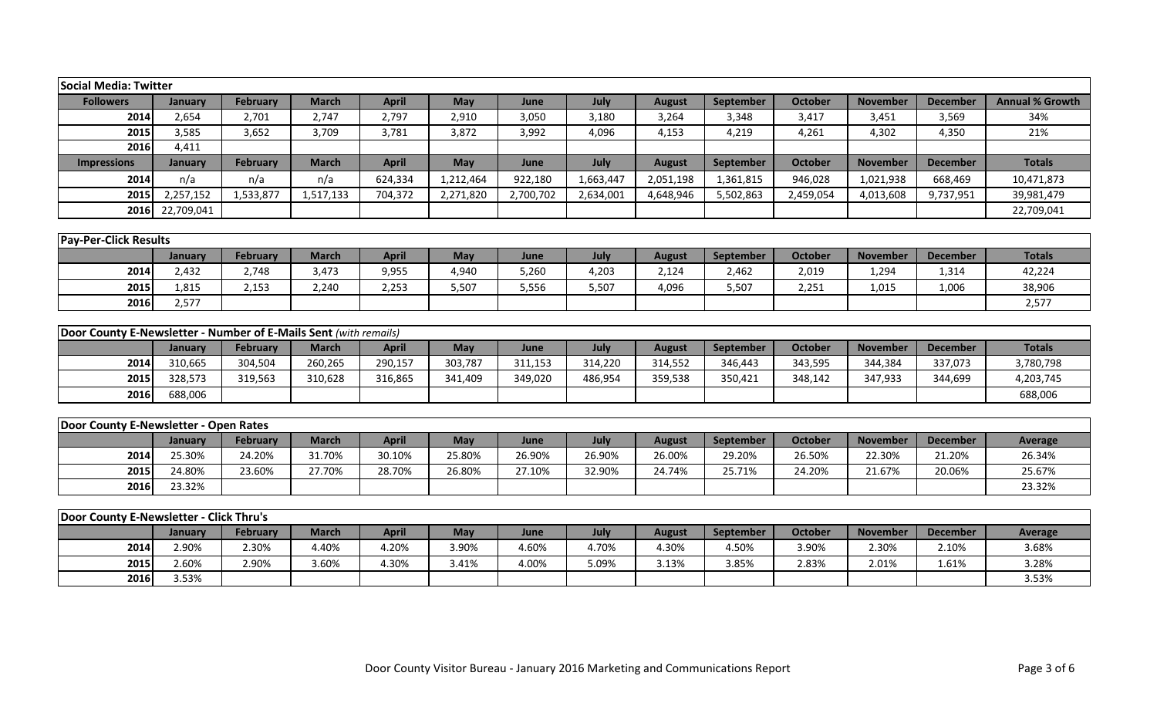| Social Media: Twitter                                            |            |                 |              |              |           |           |           |               |                  |                |                 |                 |                        |
|------------------------------------------------------------------|------------|-----------------|--------------|--------------|-----------|-----------|-----------|---------------|------------------|----------------|-----------------|-----------------|------------------------|
| <b>Followers</b>                                                 | January    | <b>February</b> | <b>March</b> | <b>April</b> | May       | June      | July      | <b>August</b> | September        | <b>October</b> | <b>November</b> | <b>December</b> | <b>Annual % Growth</b> |
| 2014                                                             | 2,654      | 2,701           | 2,747        | 2,797        | 2,910     | 3,050     | 3,180     | 3,264         | 3,348            | 3,417          | 3,451           | 3,569           | 34%                    |
| 2015                                                             | 3,585      | 3,652           | 3,709        | 3,781        | 3,872     | 3,992     | 4,096     | 4,153         | 4,219            | 4,261          | 4,302           | 4,350           | 21%                    |
| 2016                                                             | 4,411      |                 |              |              |           |           |           |               |                  |                |                 |                 |                        |
| <b>Impressions</b>                                               | January    | <b>February</b> | <b>March</b> | <b>April</b> | May       | June      | July      | <b>August</b> | <b>September</b> | <b>October</b> | <b>November</b> | <b>December</b> | <b>Totals</b>          |
| 2014                                                             | n/a        | n/a             | n/a          | 624,334      | 1,212,464 | 922,180   | 1,663,447 | 2,051,198     | 1,361,815        | 946,028        | 1,021,938       | 668,469         | 10,471,873             |
| 2015                                                             | 2,257,152  | 1,533,877       | 1,517,133    | 704,372      | 2,271,820 | 2,700,702 | 2,634,001 | 4,648,946     | 5,502,863        | 2,459,054      | 4,013,608       | 9,737,951       | 39,981,479             |
| 2016                                                             | 22,709,041 |                 |              |              |           |           |           |               |                  |                |                 |                 | 22,709,041             |
|                                                                  |            |                 |              |              |           |           |           |               |                  |                |                 |                 |                        |
| <b>Pay-Per-Click Results</b>                                     |            |                 |              |              |           |           |           |               |                  |                |                 |                 |                        |
|                                                                  | January    | <b>February</b> | <b>March</b> | <b>April</b> | May       | June      | July      | <b>August</b> | September        | <b>October</b> | <b>November</b> | <b>December</b> | <b>Totals</b>          |
| 2014                                                             | 2,432      | 2,748           | 3,473        | 9,955        | 4,940     | 5,260     | 4,203     | 2,124         | 2,462            | 2,019          | 1,294           | 1,314           | 42,224                 |
| 2015                                                             | 1,815      | 2,153           | 2,240        | 2,253        | 5,507     | 5,556     | 5,507     | 4,096         | 5,507            | 2,251          | 1,015           | 1,006           | 38,906                 |
| 2016                                                             | 2,577      |                 |              |              |           |           |           |               |                  |                |                 |                 | 2,577                  |
|                                                                  |            |                 |              |              |           |           |           |               |                  |                |                 |                 |                        |
| Door County E-Newsletter - Number of E-Mails Sent (with remails) |            |                 |              |              |           |           |           |               |                  |                |                 |                 |                        |
|                                                                  | January    | <b>February</b> | <b>March</b> | <b>April</b> | May       | June      | July      | <b>August</b> | September        | <b>October</b> | <b>November</b> | <b>December</b> | <b>Totals</b>          |
| 2014                                                             | 310,665    | 304,504         | 260,265      | 290,157      | 303,787   | 311,153   | 314,220   | 314,552       | 346,443          | 343,595        | 344,384         | 337,073         | 3,780,798              |
| 2015                                                             | 328,573    | 319,563         | 310,628      | 316,865      | 341,409   | 349,020   | 486,954   | 359,538       | 350,421          | 348,142        | 347,933         | 344,699         | 4,203,745              |
| 2016                                                             | 688,006    |                 |              |              |           |           |           |               |                  |                |                 |                 | 688,006                |
|                                                                  |            |                 |              |              |           |           |           |               |                  |                |                 |                 |                        |
| Door County E-Newsletter - Open Rates                            |            |                 |              |              |           |           |           |               |                  |                |                 |                 |                        |
|                                                                  | January    | <b>February</b> | <b>March</b> | <b>April</b> | May       | June      | July      | <b>August</b> | September        | <b>October</b> | <b>November</b> | <b>December</b> | <b>Average</b>         |
| 2014                                                             | 25.30%     | 24.20%          | 31.70%       | 30.10%       | 25.80%    | 26.90%    | 26.90%    | 26.00%        | 29.20%           | 26.50%         | 22.30%          | 21.20%          | 26.34%                 |
| 2015                                                             | 24.80%     | 23.60%          | 27.70%       | 28.70%       | 26.80%    | 27.10%    | 32.90%    | 24.74%        | 25.71%           | 24.20%         | 21.67%          | 20.06%          | 25.67%                 |
| 2016                                                             | 23.32%     |                 |              |              |           |           |           |               |                  |                |                 |                 | 23.32%                 |
| Door County E-Newsletter - Click Thru's                          |            |                 |              |              |           |           |           |               |                  |                |                 |                 |                        |
|                                                                  | January    | <b>February</b> | <b>March</b> | <b>April</b> | May       | June      | July      | <b>August</b> | <b>September</b> | <b>October</b> | <b>November</b> | <b>December</b> | <b>Average</b>         |
| 2014                                                             | 2.90%      | 2.30%           | 4.40%        | 4.20%        | 3.90%     | 4.60%     | 4.70%     | 4.30%         | 4.50%            | 3.90%          | 2.30%           | 2.10%           | 3.68%                  |
| 2015                                                             | 2.60%      | 2.90%           | 3.60%        | 4.30%        | 3.41%     | 4.00%     | 5.09%     | 3.13%         | 3.85%            | 2.83%          | 2.01%           | 1.61%           | 3.28%                  |
|                                                                  |            |                 |              |              |           |           |           |               |                  |                |                 |                 |                        |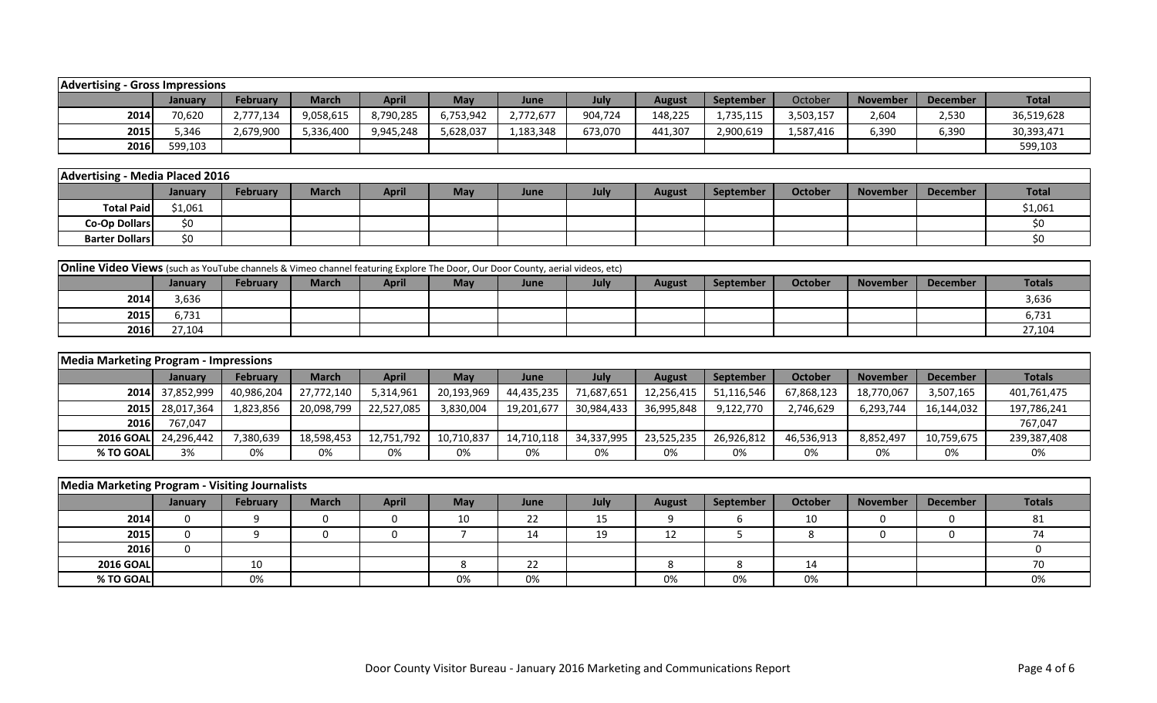| Advertising<br>- Gross Impressions                                                                                                                                                             |         |           |           |           |           |           |         |         |           |           |       |       |            |
|------------------------------------------------------------------------------------------------------------------------------------------------------------------------------------------------|---------|-----------|-----------|-----------|-----------|-----------|---------|---------|-----------|-----------|-------|-------|------------|
| <b>April</b><br><b>Total</b><br>October<br><b>February</b><br><b>March</b><br>July<br><b>May</b><br><b>September</b><br><b>December</b><br><b>November</b><br>June<br>August<br><b>January</b> |         |           |           |           |           |           |         |         |           |           |       |       |            |
| 2014                                                                                                                                                                                           | 70,620  | 2,777,134 | 9,058,615 | 8,790,285 | 6,753,942 | 2,772,677 | 904,724 | 148,225 | 1,735,115 | 3,503,157 | 2,604 | 2,530 | 36,519,628 |
| 2015                                                                                                                                                                                           | 5.346   | 2,679,900 | 5,336,400 | 9,945,248 | 5,628,037 | 1,183,348 | 673,070 | 441,307 | 2,900,619 | 1,587,416 | 6,390 | 6,390 | 30,393,471 |
| 2016                                                                                                                                                                                           | 599,103 |           |           |           |           |           |         |         |           |           |       |       | 599,103    |

| - Media Placed 2016<br>Advertising - |         |                 |              |              |     |      |      |        |           |         |          |                 |              |
|--------------------------------------|---------|-----------------|--------------|--------------|-----|------|------|--------|-----------|---------|----------|-----------------|--------------|
|                                      | January | <b>February</b> | <b>March</b> | <b>April</b> | May | June | July | August | September | October | November | <b>December</b> | <b>Total</b> |
| <b>Total Paid</b>                    | \$1,061 |                 |              |              |     |      |      |        |           |         |          |                 | \$1,061      |
| Co-Op Dollars                        | ¢٨      |                 |              |              |     |      |      |        |           |         |          |                 |              |
| <b>Barter Dollars</b>                | ¢٨      |                 |              |              |     |      |      |        |           |         |          |                 |              |

| <b>Online Video Views</b> (such as YouTube channels & Vimeo channel featuring Explore The Door, Our Door County, aerial videos, etc)                                       |        |  |  |  |  |  |  |  |  |  |  |  |        |  |
|----------------------------------------------------------------------------------------------------------------------------------------------------------------------------|--------|--|--|--|--|--|--|--|--|--|--|--|--------|--|
| <b>Totals</b><br>April<br>October<br><b>September</b><br><b>February</b><br>May<br>June<br><b>November</b><br><b>March</b><br>July<br>December<br>August<br><b>January</b> |        |  |  |  |  |  |  |  |  |  |  |  |        |  |
| 2014                                                                                                                                                                       | 3.636  |  |  |  |  |  |  |  |  |  |  |  | 3,636  |  |
| 2015                                                                                                                                                                       | 6.731  |  |  |  |  |  |  |  |  |  |  |  | 6,731  |  |
| 2016                                                                                                                                                                       | 27,104 |  |  |  |  |  |  |  |  |  |  |  | 27,104 |  |

| <b>Media Marketing Program - Impressions</b> |                 |            |              |              |            |            |            |               |                  |            |                 |                 |             |
|----------------------------------------------|-----------------|------------|--------------|--------------|------------|------------|------------|---------------|------------------|------------|-----------------|-----------------|-------------|
|                                              | <b>January</b>  | February   | <b>March</b> | <b>April</b> | May        | June       | July       | <b>August</b> | <b>September</b> | October    | <b>November</b> | <b>December</b> | Totals      |
|                                              | 2014 37,852,999 | 40,986,204 | 27,772,140   | 5,314,961    | 20,193,969 | 44,435,235 | 71,687,651 | 12,256,415    | 51,116,546       | 67,868,123 | 18,770,067      | 3,507,165       | 401,761,475 |
| <b>2015</b>                                  | 28,017,364      | 1,823,856  | 20,098,799   | 22,527,085   | 3,830,004  | 19,201,677 | 30,984,433 | 36,995,848    | 9,122,770        | 2,746,629  | 6,293,744       | 16,144,032      | 197,786,241 |
| 2016                                         | 767.047         |            |              |              |            |            |            |               |                  |            |                 |                 | 767,047     |
| <b>2016 GOAL</b>                             | 24.296.442      | 7,380,639  | 18,598,453   | 12,751,792   | 10,710,837 | 14,710,118 | 34,337,995 | 23,525,235    | 26,926,812       | 46,536,913 | 8,852,497       | 10,759,675      | 239,387,408 |
| % TO GOAL                                    | 3%              | 0%         | 0%           | 0%           | 0%         | 0%         | 0%         | 0%            | 0%               | 0%         | 0%              | 0%              | 0%          |

| Media Marketing Program - Visiting Journalists |         |                 |              |              |            |      |          |               |           |                |                 |                 |        |
|------------------------------------------------|---------|-----------------|--------------|--------------|------------|------|----------|---------------|-----------|----------------|-----------------|-----------------|--------|
|                                                | January | <b>February</b> | <b>March</b> | <b>April</b> | <b>May</b> | June | July     | <b>August</b> | September | <b>October</b> | <b>November</b> | <b>December</b> | Totals |
| 2014                                           |         |                 |              |              | 10         | 22   | 15<br>ᅩJ |               |           | 10             |                 |                 | 81     |
| 2015                                           |         |                 |              |              |            | 14   | 19       | 12            |           |                |                 |                 |        |
| 2016                                           |         |                 |              |              |            |      |          |               |           |                |                 |                 |        |
| <b>2016 GOAL</b>                               |         | 10              |              |              |            | 22   |          |               |           | 14             |                 |                 |        |
| % TO GOAL                                      |         | 0%              |              |              | 0%         | 0%   |          | 0%            | 0%        | 0%             |                 |                 | 0%     |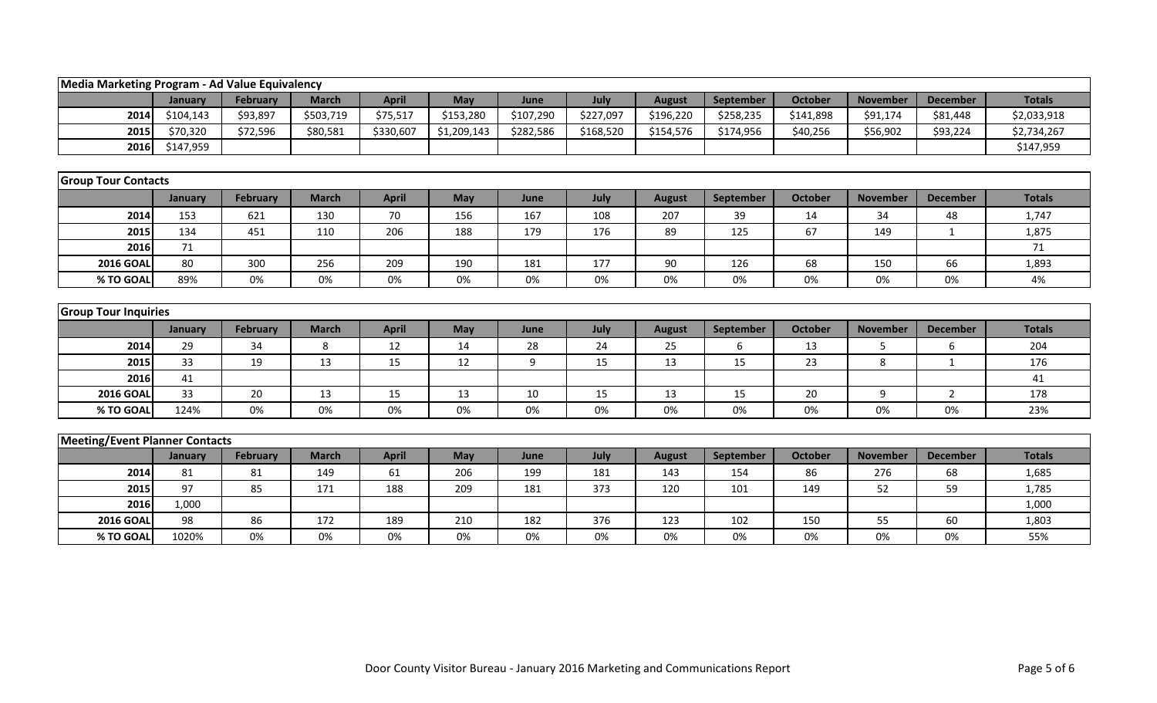|                                       | Media Marketing Program - Ad Value Equivalency |                 |              |              |             |           |           |               |           |                |                 |                 |               |
|---------------------------------------|------------------------------------------------|-----------------|--------------|--------------|-------------|-----------|-----------|---------------|-----------|----------------|-----------------|-----------------|---------------|
|                                       | January                                        | <b>February</b> | <b>March</b> | <b>April</b> | May         | June      | July      | <b>August</b> | September | <b>October</b> | <b>November</b> | <b>December</b> | <b>Totals</b> |
| 2014                                  | \$104,143                                      | \$93,897        | \$503,719    | \$75,517     | \$153,280   | \$107,290 | \$227,097 | \$196,220     | \$258,235 | \$141,898      | \$91,174        | \$81,448        | \$2,033,918   |
| 2015                                  | \$70,320                                       | \$72,596        | \$80,581     | \$330,607    | \$1,209,143 | \$282,586 | \$168,520 | \$154,576     | \$174,956 | \$40,256       | \$56,902        | \$93,224        | \$2,734,267   |
| 2016                                  | \$147,959                                      |                 |              |              |             |           |           |               |           |                |                 |                 | \$147,959     |
|                                       |                                                |                 |              |              |             |           |           |               |           |                |                 |                 |               |
| <b>Group Tour Contacts</b>            |                                                |                 |              |              |             |           |           |               |           |                |                 |                 |               |
|                                       | January                                        | <b>February</b> | <b>March</b> | <b>April</b> | May         | June      | July      | <b>August</b> | September | <b>October</b> | <b>November</b> | <b>December</b> | <b>Totals</b> |
| 2014                                  | 153                                            | 621             | 130          | 70           | 156         | 167       | 108       | 207           | 39        | 14             | 34              | 48              | 1,747         |
| 2015                                  | 134                                            | 451             | 110          | 206          | 188         | 179       | 176       | 89            | 125       | 67             | 149             | 1               | 1,875         |
| 2016                                  | 71                                             |                 |              |              |             |           |           |               |           |                |                 |                 | 71            |
| <b>2016 GOAL</b>                      | 80                                             | 300             | 256          | 209          | 190         | 181       | 177       | 90            | 126       | 68             | 150             | 66              | 1,893         |
| % TO GOAL                             | 89%                                            | 0%              | 0%           | 0%           | 0%          | 0%        | 0%        | 0%            | 0%        | 0%             | 0%              | 0%              | 4%            |
|                                       |                                                |                 |              |              |             |           |           |               |           |                |                 |                 |               |
| <b>Group Tour Inquiries</b>           |                                                |                 |              |              |             |           |           |               |           |                |                 |                 |               |
|                                       | January                                        | <b>February</b> | <b>March</b> | <b>April</b> | May         | June      | July      | <b>August</b> | September | <b>October</b> | <b>November</b> | <b>December</b> | <b>Totals</b> |
| 2014                                  | 29                                             | 34              | 8            | 12           | 14          | 28        | 24        | 25            | 6         | 13             | 5               | 6               | 204           |
| 2015                                  | 33                                             | 19              | 13           | 15           | 12          | 9         | 15        | 13            | 15        | 23             | 8               | $\mathbf{1}$    | 176           |
| 2016                                  | 41                                             |                 |              |              |             |           |           |               |           |                |                 |                 | 41            |
| <b>2016 GOAL</b>                      | 33                                             | 20              | 13           | 15           | 13          | $10\,$    | 15        | 13            | 15        | 20             | 9               | $\overline{2}$  | 178           |
| % TO GOAL                             | 124%                                           | 0%              | 0%           | 0%           | 0%          | 0%        | 0%        | 0%            | 0%        | 0%             | 0%              | 0%              | 23%           |
|                                       |                                                |                 |              |              |             |           |           |               |           |                |                 |                 |               |
| <b>Meeting/Event Planner Contacts</b> |                                                |                 |              |              |             |           |           |               |           |                |                 |                 |               |
|                                       | January                                        | <b>February</b> | <b>March</b> | <b>April</b> | May         | June      | July      | <b>August</b> | September | <b>October</b> | <b>November</b> | <b>December</b> | <b>Totals</b> |
| 2014                                  | 81                                             | 81              | 149          | 61           | 206         | 199       | 181       | 143           | 154       | 86             | 276             | 68              | 1,685         |
| 2015                                  | 97                                             | 85              | 171          | 188          | 209         | 181       | 373       | 120           | 101       | 149            | 52              | 59              | 1,785         |
| 2016                                  | 1,000                                          |                 |              |              |             |           |           |               |           |                |                 |                 | 1,000         |
| <b>2016 GOAL</b>                      | 98                                             | 86              | 172          | 189          | 210         | 182       | 376       | 123           | 102       | 150            | 55              | 60              | 1,803         |
| % TO GOAL                             | 1020%                                          | 0%              | 0%           | 0%           | 0%          | 0%        | 0%        | 0%            | 0%        | 0%             | 0%              | 0%              | 55%           |